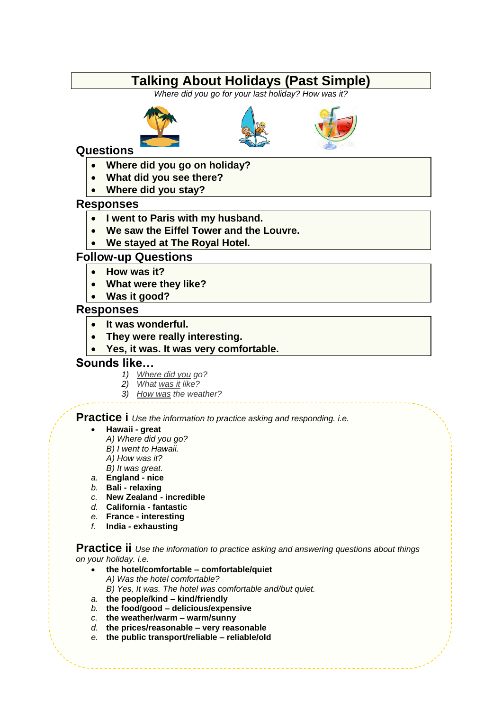## **Talking About Holidays (Past Simple)**

*Where did you go for your last holiday? How was it?*







### **Questions**

- **Where did you go on holiday?**
- **What did you see there?**
- **Where did you stay?**

#### **Responses**

- **I went to Paris with my husband.**
- **We saw the Eiffel Tower and the Louvre.**
- **We stayed at The Royal Hotel.**

### **Follow-up Questions**

- **How was it?**
- **What were they like?**
- **Was it good?**

#### **Responses**

- **It was wonderful.**
- **They were really interesting.**
- **Yes, it was. It was very comfortable.**

#### **Sounds like…**

- *1) Where did you go?*
- *2) What was it like?*
- *3) How was the weather?*

### **Practice i** *Use the information to practice asking and responding. i.e.*

#### **Hawaii - great**

- *A) Where did you go?*
- *B) I went to Hawaii.*
- *A) How was it?*
- *B) It was great.*
- *a.* **England - nice**
- *b.* **Bali - relaxing**
- *c.* **New Zealand - incredible**
- *d.* **California - fantastic**
- *e.* **France - interesting**
- *f.* **India - exhausting**

**Practice ii** *Use the information to practice asking and answering questions about things on your holiday. i.e.*

- **the hotel/comfortable – comfortable/quiet** *A) Was the hotel comfortable?*
	- *B) Yes, It was. The hotel was comfortable and/but quiet.*
- *a.* **the people/kind – kind/friendly**
- *b.* **the food/good – delicious/expensive**
- *c.* **the weather/warm – warm/sunny**
- *d.* **the prices/reasonable – very reasonable**
- *e.* **the public transport/reliable – reliable/old**